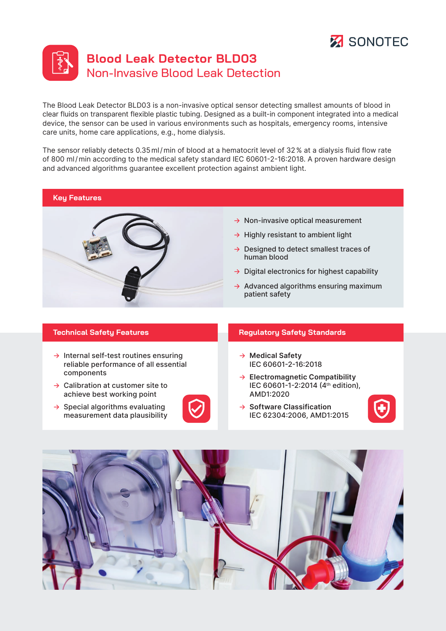



The Blood Leak Detector BLD03 is a non-invasive optical sensor detecting smallest amounts of blood in clear fluids on transparent flexible plastic tubing. Designed as a built-in component integrated into a medical device, the sensor can be used in various environments such as hospitals, emergency rooms, intensive care units, home care applications, e.g., home dialysis.

The sensor reliably detects 0.35ml/min of blood at a hematocrit level of 32% at a dialysis fluid flow rate of 800 ml/min according to the medical safety standard IEC 60601-2-16:2018. A proven hardware design and advanced algorithms guarantee excellent protection against ambient light.

### **Key Features**



- $\rightarrow$  Non-invasive optical measurement
- $\rightarrow$  Highly resistant to ambient light
- → Designed to detect smallest traces of human blood
- $\rightarrow$  Digital electronics for highest capability
- $\rightarrow$  Advanced algorithms ensuring maximum patient safety

- $\rightarrow$  Internal self-test routines ensuring reliable performance of all essential components
- $\rightarrow$  Calibration at customer site to achieve best working point
- $\rightarrow$  Special algorithms evaluating measurement data plausibility



#### **Technical Safety Features Regulatory Safety Standards**

- → **Medical Safety** IEC 60601-2-16:2018
- → **Electromagnetic Compatibility** IEC 60601-1-2:2014 (4th edition), AMD1:2020
- → **Software Classification** IEC 62304:2006, AMD1:2015